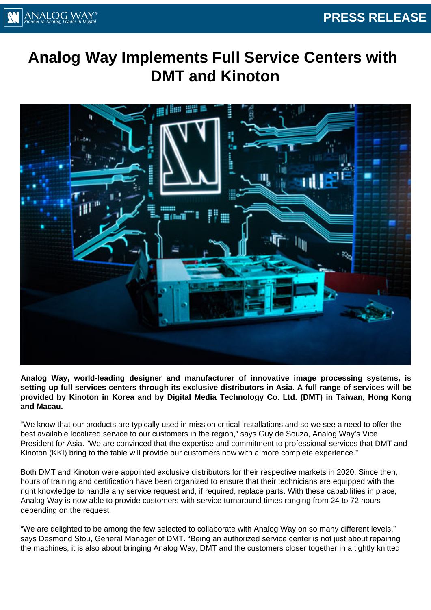

## **Analog Way Implements Full Service Centers with DMT and Kinoton**



**Analog Way, world-leading designer and manufacturer of innovative image processing systems, is setting up full services centers through its exclusive distributors in Asia. A full range of services will be provided by Kinoton in Korea and by Digital Media Technology Co. Ltd. (DMT) in Taiwan, Hong Kong and Macau.**

"We know that our products are typically used in mission critical installations and so we see a need to offer the best available localized service to our customers in the region," says Guy de Souza, Analog Way's Vice President for Asia. "We are convinced that the expertise and commitment to professional services that DMT and Kinoton (KKI) bring to the table will provide our customers now with a more complete experience."

Both DMT and Kinoton were appointed exclusive distributors for their respective markets in 2020. Since then, hours of training and certification have been organized to ensure that their technicians are equipped with the right knowledge to handle any service request and, if required, replace parts. With these capabilities in place, Analog Way is now able to provide customers with service turnaround times ranging from 24 to 72 hours depending on the request.

"We are delighted to be among the few selected to collaborate with Analog Way on so many different levels," says Desmond Stou, General Manager of DMT. "Being an authorized service center is not just about repairing the machines, it is also about bringing Analog Way, DMT and the customers closer together in a tightly knitted